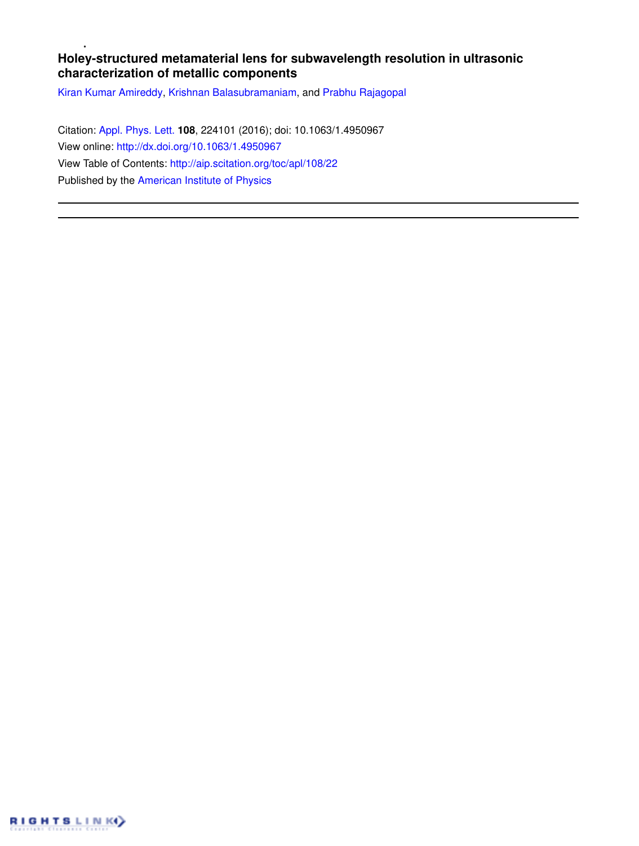## **Holey-structured metamaterial lens for subwavelength resolution in ultrasonic characterization of metallic components**

Kiran Kumar Amireddy, Krishnan Balasubramaniam, and Prabhu Rajagopal

Citation: Appl. Phys. Lett. **108**, 224101 (2016); doi: 10.1063/1.4950967 View online: http://dx.doi.org/10.1063/1.4950967 View Table of Contents: http://aip.scitation.org/toc/apl/108/22 Published by the American Institute of Physics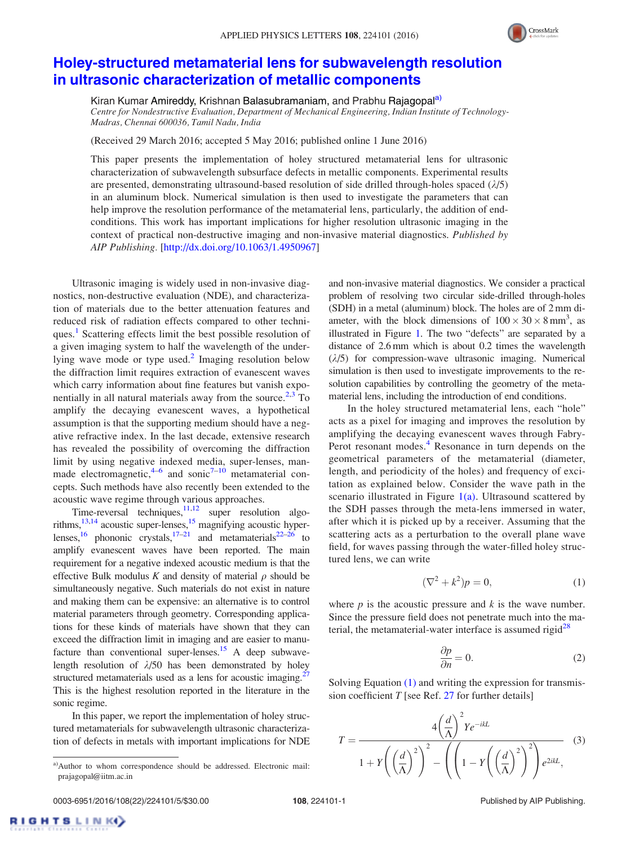

## Holey-structured metamaterial lens for subwavelength resolution in ultrasonic characterization of metallic components

Kiran Kumar Amireddy, Krishnan Balasubramaniam, and Prabhu Rajagopal<sup>a)</sup>

*Centre for Nondestructive Evaluation, Department of Mechanical Engineering, Indian Institute of Technology-Madras, Chennai 600036, Tamil Nadu, India*

(Received 29 March 2016; accepted 5 May 2016; published online 1 June 2016)

This paper presents the implementation of holey structured metamaterial lens for ultrasonic characterization of subwavelength subsurface defects in metallic components. Experimental results are presented, demonstrating ultrasound-based resolution of side drilled through-holes spaced  $(\lambda/5)$ in an aluminum block. Numerical simulation is then used to investigate the parameters that can help improve the resolution performance of the metamaterial lens, particularly, the addition of endconditions. This work has important implications for higher resolution ultrasonic imaging in the context of practical non-destructive imaging and non-invasive material diagnostics. *Published by AIP Publishing.* [http://dx.doi.org/10.1063/1.4950967]

Ultrasonic imaging is widely used in non-invasive diagnostics, non-destructive evaluation (NDE), and characterization of materials due to the better attenuation features and reduced risk of radiation effects compared to other techniques.<sup>1</sup> Scattering effects limit the best possible resolution of a given imaging system to half the wavelength of the underlying wave mode or type used.<sup>2</sup> Imaging resolution below the diffraction limit requires extraction of evanescent waves which carry information about fine features but vanish exponentially in all natural materials away from the source.<sup>2,3</sup> To amplify the decaying evanescent waves, a hypothetical assumption is that the supporting medium should have a negative refractive index. In the last decade, extensive research has revealed the possibility of overcoming the diffraction limit by using negative indexed media, super-lenses, manmade electromagnetic,  $4-6$  and sonic<sup>7-10</sup> metamaterial concepts. Such methods have also recently been extended to the acoustic wave regime through various approaches.

Time-reversal techniques, $11,12$  super resolution algorithms,  $13,14$  acoustic super-lenses,  $15$  magnifying acoustic hyperlenses, <sup>16</sup> phononic crystals,  $17-21$  and metamaterials  $22-26$  to amplify evanescent waves have been reported. The main requirement for a negative indexed acoustic medium is that the effective Bulk modulus  $K$  and density of material  $\rho$  should be simultaneously negative. Such materials do not exist in nature and making them can be expensive: an alternative is to control material parameters through geometry. Corresponding applications for these kinds of materials have shown that they can exceed the diffraction limit in imaging and are easier to manufacture than conventional super-lenses.<sup>15</sup> A deep subwavelength resolution of  $\lambda/50$  has been demonstrated by holey structured metamaterials used as a lens for acoustic imaging.<sup>27</sup> This is the highest resolution reported in the literature in the sonic regime.

In this paper, we report the implementation of holey structured metamaterials for subwavelength ultrasonic characterization of defects in metals with important implications for NDE and non-invasive material diagnostics. We consider a practical problem of resolving two circular side-drilled through-holes (SDH) in a metal (aluminum) block. The holes are of 2 mm diameter, with the block dimensions of  $100 \times 30 \times 8 \text{ mm}^3$ , as illustrated in Figure 1. The two "defects" are separated by a distance of 2.6 mm which is about 0.2 times the wavelength  $(\lambda/5)$  for compression-wave ultrasonic imaging. Numerical simulation is then used to investigate improvements to the resolution capabilities by controlling the geometry of the metamaterial lens, including the introduction of end conditions.

In the holey structured metamaterial lens, each "hole" acts as a pixel for imaging and improves the resolution by amplifying the decaying evanescent waves through Fabry-Perot resonant modes.<sup>4</sup> Resonance in turn depends on the geometrical parameters of the metamaterial (diameter, length, and periodicity of the holes) and frequency of excitation as explained below. Consider the wave path in the scenario illustrated in Figure  $1(a)$ . Ultrasound scattered by the SDH passes through the meta-lens immersed in water, after which it is picked up by a receiver. Assuming that the scattering acts as a perturbation to the overall plane wave field, for waves passing through the water-filled holey structured lens, we can write

$$
(\nabla^2 + k^2)p = 0,\t(1)
$$

where  $p$  is the acoustic pressure and  $k$  is the wave number. Since the pressure field does not penetrate much into the material, the metamaterial-water interface is assumed rigid $^{28}$ 

$$
\frac{\partial p}{\partial n} = 0.
$$
 (2)

Solving Equation (1) and writing the expression for transmission coefficient *T* [see Ref. 27 for further details]

$$
T = \frac{4\left(\frac{d}{\Lambda}\right)^{2} Y e^{-ikL}}{1 + Y \left(\left(\frac{d}{\Lambda}\right)^{2}\right)^{2} - \left(\left(1 - Y \left(\left(\frac{d}{\Lambda}\right)^{2}\right)^{2}\right) e^{2ikL}},
$$
\n(3)

RIGHTS LINKO

a)Author to whom correspondence should be addressed. Electronic mail: prajagopal@iitm.ac.in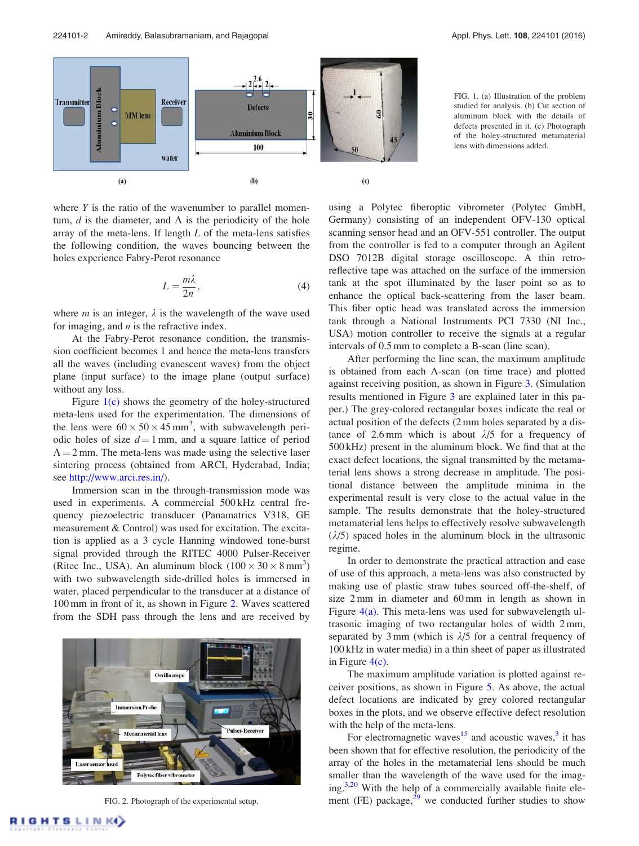

where *Y* is the ratio of the wavenumber to parallel momentum,  $d$  is the diameter, and  $\Lambda$  is the periodicity of the hole array of the meta-lens. If length *L* of the meta-lens satisfies the following condition, the waves bouncing between the holes experience Fabry-Perot resonance

$$
L = \frac{m\lambda}{2n},\tag{4}
$$

where *m* is an integer,  $\lambda$  is the wavelength of the wave used for imaging, and *n* is the refractive index.

At the Fabry-Perot resonance condition, the transmission coefficient becomes 1 and hence the meta-lens transfers all the waves (including evanescent waves) from the object plane (input surface) to the image plane (output surface) without any loss.

Figure  $1(c)$  shows the geometry of the holey-structured meta-lens used for the experimentation. The dimensions of the lens were  $60 \times 50 \times 45$  mm<sup>3</sup>, with subwavelength periodic holes of size  $d = 1$  mm, and a square lattice of period  $\Lambda = 2$  mm. The meta-lens was made using the selective laser sintering process (obtained from ARCI, Hyderabad, India; see http://www.arci.res.in/).

Immersion scan in the through-transmission mode was used in experiments. A commercial 500 kHz central frequency piezoelectric transducer (Panamatrics V318, GE measurement & Control) was used for excitation. The excitation is applied as a 3 cycle Hanning windowed tone-burst signal provided through the RITEC 4000 Pulser-Receiver (Ritec Inc., USA). An aluminum block  $(100 \times 30 \times 8 \text{ mm}^3)$ with two subwavelength side-drilled holes is immersed in water, placed perpendicular to the transducer at a distance of 100 mm in front of it, as shown in Figure 2. Waves scattered from the SDH pass through the lens and are received by



FIG. 2. Photograph of the experimental setup.

FIG. 1. (a) Illustration of the problem studied for analysis. (b) Cut section of aluminum block with the details of defects presented in it. (c) Photograph of the holey-structured metamaterial lens with dimensions added.

using a Polytec fiberoptic vibrometer (Polytec GmbH, Germany) consisting of an independent OFV-130 optical scanning sensor head and an OFV-551 controller. The output from the controller is fed to a computer through an Agilent DSO 7012B digital storage oscilloscope. A thin retroreflective tape was attached on the surface of the immersion tank at the spot illuminated by the laser point so as to enhance the optical back-scattering from the laser beam. This fiber optic head was translated across the immersion tank through a National Instruments PCI 7330 (NI Inc., USA) motion controller to receive the signals at a regular intervals of 0.5 mm to complete a B-scan (line scan).

After performing the line scan, the maximum amplitude is obtained from each A-scan (on time trace) and plotted against receiving position, as shown in Figure 3. (Simulation results mentioned in Figure 3 are explained later in this paper.) The grey-colored rectangular boxes indicate the real or actual position of the defects (2 mm holes separated by a distance of 2.6 mm which is about  $\lambda/5$  for a frequency of 500 kHz) present in the aluminum block. We find that at the exact defect locations, the signal transmitted by the metamaterial lens shows a strong decrease in amplitude. The positional distance between the amplitude minima in the experimental result is very close to the actual value in the sample. The results demonstrate that the holey-structured metamaterial lens helps to effectively resolve subwavelength  $(\lambda/5)$  spaced holes in the aluminum block in the ultrasonic regime.

In order to demonstrate the practical attraction and ease of use of this approach, a meta-lens was also constructed by making use of plastic straw tubes sourced off-the-shelf, of size 2 mm in diameter and 60 mm in length as shown in Figure 4(a). This meta-lens was used for subwavelength ultrasonic imaging of two rectangular holes of width 2 mm, separated by 3 mm (which is  $\lambda/5$  for a central frequency of 100 kHz in water media) in a thin sheet of paper as illustrated in Figure 4(c).

The maximum amplitude variation is plotted against receiver positions, as shown in Figure 5. As above, the actual defect locations are indicated by grey colored rectangular boxes in the plots, and we observe effective defect resolution with the help of the meta-lens.

For electromagnetic waves<sup>15</sup> and acoustic waves,  $3$  it has been shown that for effective resolution, the periodicity of the array of the holes in the metamaterial lens should be much smaller than the wavelength of the wave used for the imaging.<sup>3,20</sup> With the help of a commercially available finite element (FE) package, $2^9$  we conducted further studies to show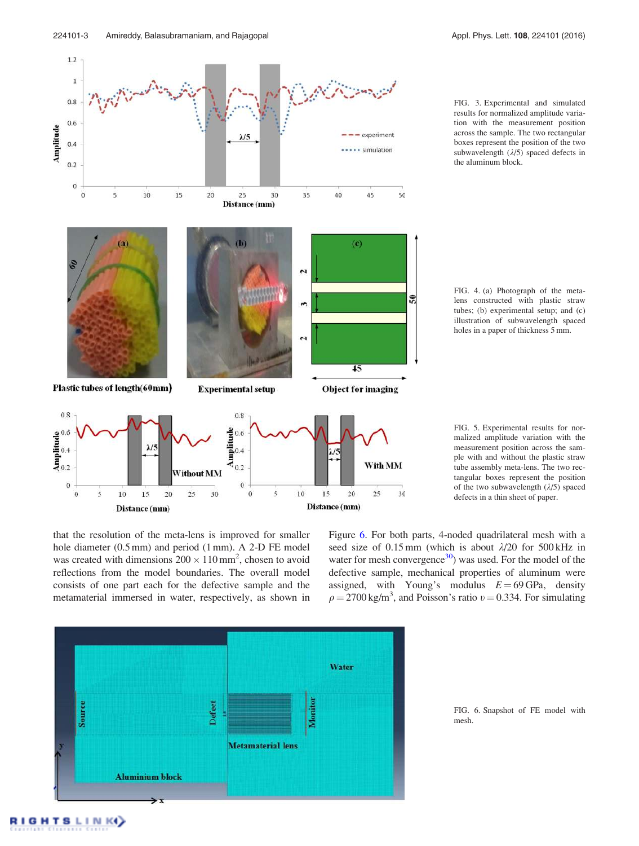$\mathbf{1}$ 

 $0.4$ 

 $0.2$ 

**S** 

Amplitude



FIG. 3. Experimental and simulated results for normalized amplitude variation with the measurement position across the sample. The two rectangular boxes represent the position of the two subwavelength  $(\lambda/5)$  spaced defects in the aluminum block.

FIG. 4. (a) Photograph of the metalens constructed with plastic straw tubes; (b) experimental setup; and (c) illustration of subwavelength spaced holes in a paper of thickness 5 mm.



FIG. 5. Experimental results for normalized amplitude variation with the measurement position across the sample with and without the plastic straw tube assembly meta-lens. The two rectangular boxes represent the position of the two subwavelength  $(\lambda/5)$  spaced defects in a thin sheet of paper.

that the resolution of the meta-lens is improved for smaller hole diameter (0.5 mm) and period (1 mm). A 2-D FE model was created with dimensions  $200 \times 110$  mm<sup>2</sup>, chosen to avoid reflections from the model boundaries. The overall model consists of one part each for the defective sample and the metamaterial immersed in water, respectively, as shown in Figure 6. For both parts, 4-noded quadrilateral mesh with a seed size of 0.15 mm (which is about  $\lambda$ /20 for 500 kHz in water for mesh convergence $30$ ) was used. For the model of the defective sample, mechanical properties of aluminum were assigned, with Young's modulus  $E = 69$  GPa, density  $\rho = 2700 \text{ kg/m}^3$ , and Poisson's ratio  $v = 0.334$ . For simulating



FIG. 6. Snapshot of FE model with mesh.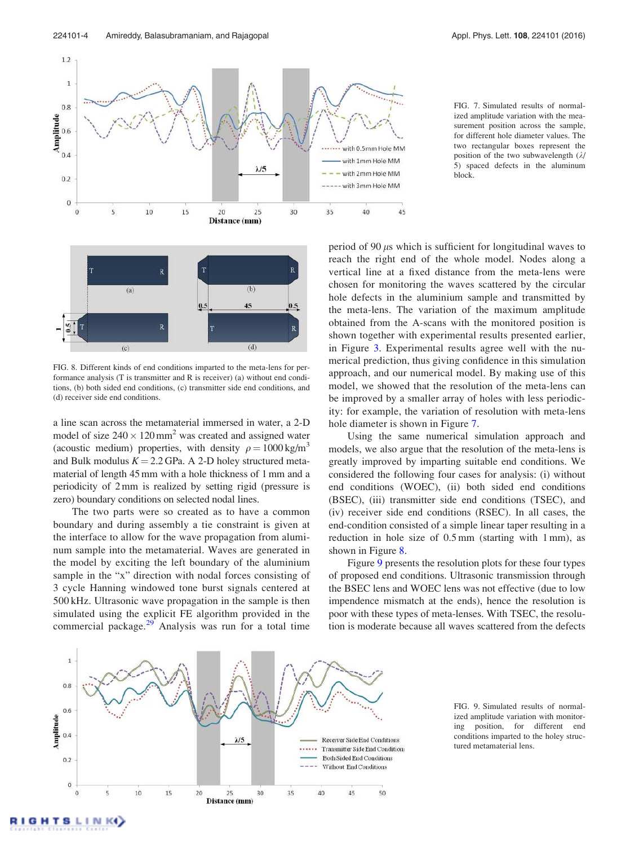



FIG. 7. Simulated results of normalized amplitude variation with the measurement position across the sample, for different hole diameter values. The two rectangular boxes represent the position of the two subwavelength  $(\lambda)$ 5) spaced defects in the aluminum block.



FIG. 8. Different kinds of end conditions imparted to the meta-lens for performance analysis (T is transmitter and R is receiver) (a) without end conditions, (b) both sided end conditions, (c) transmitter side end conditions, and (d) receiver side end conditions.

a line scan across the metamaterial immersed in water, a 2-D model of size  $240 \times 120$  mm<sup>2</sup> was created and assigned water (acoustic medium) properties, with density  $\rho = 1000 \text{ kg/m}^3$ and Bulk modulus  $K = 2.2$  GPa. A 2-D holey structured metamaterial of length 45 mm with a hole thickness of 1 mm and a periodicity of 2 mm is realized by setting rigid (pressure is zero) boundary conditions on selected nodal lines.

The two parts were so created as to have a common boundary and during assembly a tie constraint is given at the interface to allow for the wave propagation from aluminum sample into the metamaterial. Waves are generated in the model by exciting the left boundary of the aluminium sample in the "x" direction with nodal forces consisting of 3 cycle Hanning windowed tone burst signals centered at 500 kHz. Ultrasonic wave propagation in the sample is then simulated using the explicit FE algorithm provided in the commercial package. $2^9$  Analysis was run for a total time period of 90  $\mu$ s which is sufficient for longitudinal waves to reach the right end of the whole model. Nodes along a vertical line at a fixed distance from the meta-lens were chosen for monitoring the waves scattered by the circular hole defects in the aluminium sample and transmitted by the meta-lens. The variation of the maximum amplitude obtained from the A-scans with the monitored position is shown together with experimental results presented earlier, in Figure 3. Experimental results agree well with the numerical prediction, thus giving confidence in this simulation approach, and our numerical model. By making use of this model, we showed that the resolution of the meta-lens can be improved by a smaller array of holes with less periodicity: for example, the variation of resolution with meta-lens hole diameter is shown in Figure 7.

Using the same numerical simulation approach and models, we also argue that the resolution of the meta-lens is greatly improved by imparting suitable end conditions. We considered the following four cases for analysis: (i) without end conditions (WOEC), (ii) both sided end conditions (BSEC), (iii) transmitter side end conditions (TSEC), and (iv) receiver side end conditions (RSEC). In all cases, the end-condition consisted of a simple linear taper resulting in a reduction in hole size of 0.5 mm (starting with 1 mm), as shown in Figure 8.

Figure 9 presents the resolution plots for these four types of proposed end conditions. Ultrasonic transmission through the BSEC lens and WOEC lens was not effective (due to low impendence mismatch at the ends), hence the resolution is poor with these types of meta-lenses. With TSEC, the resolution is moderate because all waves scattered from the defects



FIG. 9. Simulated results of normalized amplitude variation with monitoring position, for different end conditions imparted to the holey structured metamaterial lens.

**GHTSLINK**